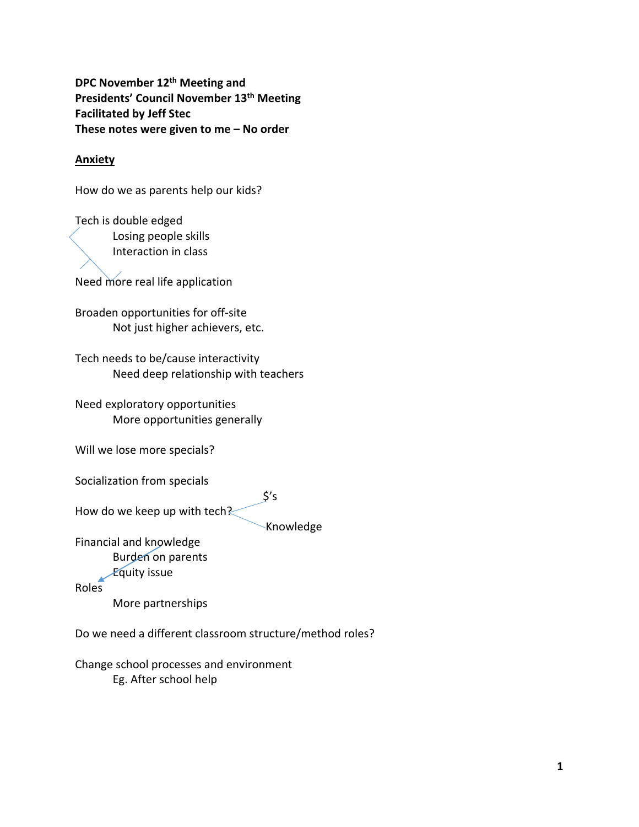**DPC November 12th Meeting and Presidents' Council November 13th Meeting Facilitated by Jeff Stec These notes were given to me – No order**

## **Anxiety**

How do we as parents help our kids?

Tech is double edged Losing people skills Interaction in class

Need more real life application

Broaden opportunities for off‐site Not just higher achievers, etc.

Tech needs to be/cause interactivity Need deep relationship with teachers

Need exploratory opportunities More opportunities generally

Will we lose more specials?

Socialization from specials

 $\zeta$ 's How do we keep up with tech?

Knowledge

Financial and knowledge

Burden on parents

Equity issue

Roles

More partnerships

Do we need a different classroom structure/method roles?

Change school processes and environment Eg. After school help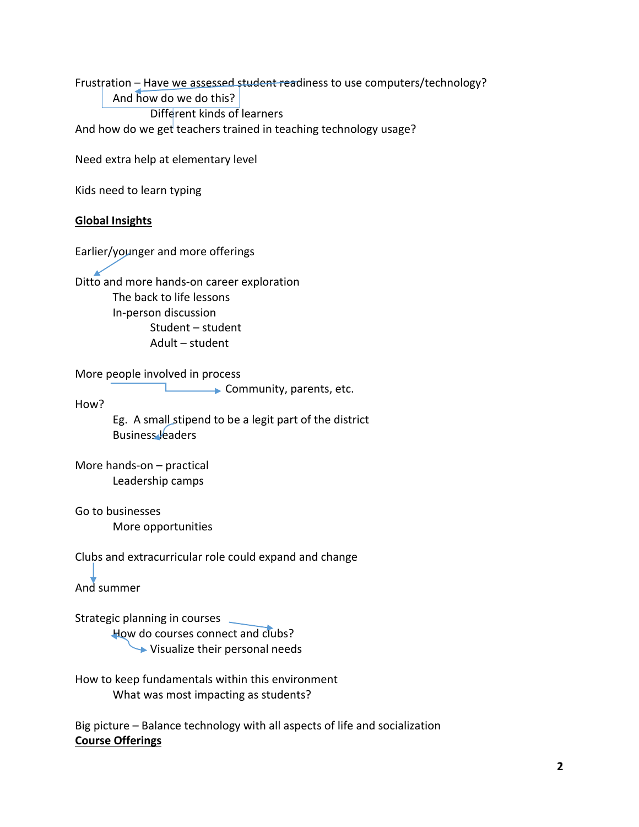Frustration – Have we assessed student readiness to use computers/technology? And how do we do this? Different kinds of learners And how do we get teachers trained in teaching technology usage?

Need extra help at elementary level

Kids need to learn typing

#### **Global Insights**

Earlier/younger and more offerings

Ditto and more hands-on career exploration The back to life lessons In‐person discussion Student – student Adult – student

More people involved in process

**Community, parents, etc.** 

How?

Eg. A small stipend to be a legit part of the district Business leaders

More hands‐on – practical Leadership camps

Go to businesses More opportunities

Clubs and extracurricular role could expand and change

And summer

Strategic planning in courses \_

How do courses connect and clubs?  $\rightarrow$  Visualize their personal needs

How to keep fundamentals within this environment What was most impacting as students?

Big picture – Balance technology with all aspects of life and socialization **Course Offerings**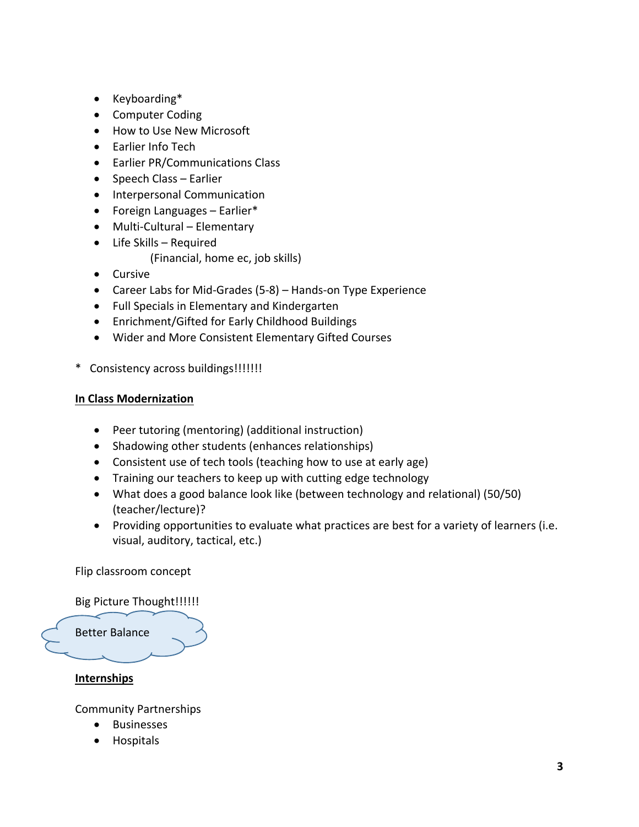- Keyboarding\*
- Computer Coding
- How to Use New Microsoft
- Earlier Info Tech
- Earlier PR/Communications Class
- Speech Class Earlier
- Interpersonal Communication
- Foreign Languages Earlier\*
- Multi-Cultural Elementary
- Life Skills Required (Financial, home ec, job skills)
- Cursive
- Career Labs for Mid‐Grades (5‐8) Hands‐on Type Experience
- Full Specials in Elementary and Kindergarten
- Enrichment/Gifted for Early Childhood Buildings
- Wider and More Consistent Elementary Gifted Courses
- \* Consistency across buildings!!!!!!!

# **In Class Modernization**

- Peer tutoring (mentoring) (additional instruction)
- Shadowing other students (enhances relationships)
- Consistent use of tech tools (teaching how to use at early age)
- Training our teachers to keep up with cutting edge technology
- What does a good balance look like (between technology and relational) (50/50) (teacher/lecture)?
- Providing opportunities to evaluate what practices are best for a variety of learners (i.e. visual, auditory, tactical, etc.)

Flip classroom concept

# Big Picture Thought!!!!!!



# **Internships**

Community Partnerships

- Businesses
- Hospitals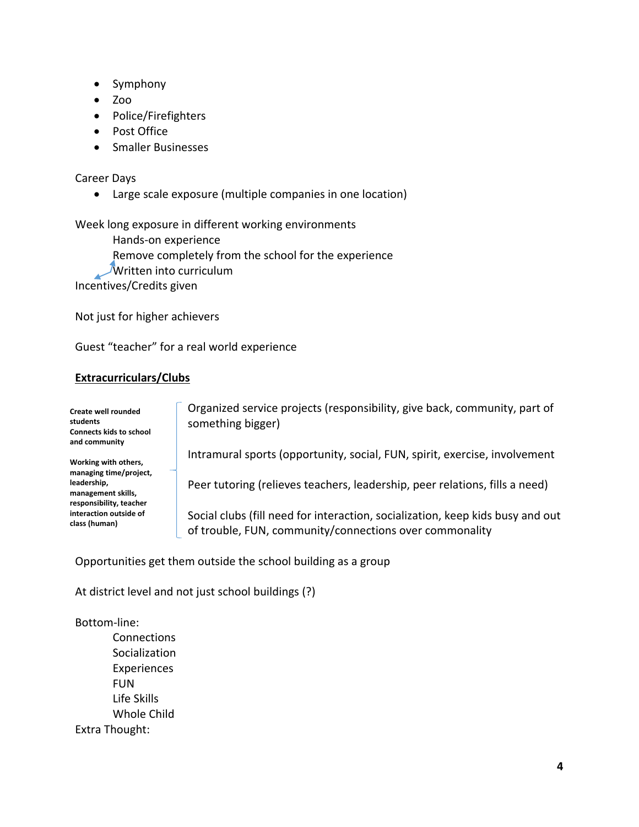- Symphony
- $\bullet$  Zoo
- Police/Firefighters
- Post Office
- Smaller Businesses

#### Career Days

Large scale exposure (multiple companies in one location)

Week long exposure in different working environments

Hands‐on experience Remove completely from the school for the experience **Written into curriculum** Incentives/Credits given

Not just for higher achievers

Guest "teacher" for a real world experience

## **Extracurriculars/Clubs**

**Create well rounded students Connects kids to school and community**

**Working with others, managing time/project, leadership, management skills, responsibility, teacher interaction outside of class (human)**

 Organized service projects (responsibility, give back, community, part of something bigger)

Intramural sports (opportunity, social, FUN, spirit, exercise, involvement

Peer tutoring (relieves teachers, leadership, peer relations, fills a need)

 Social clubs (fill need for interaction, socialization, keep kids busy and out of trouble, FUN, community/connections over commonality

Opportunities get them outside the school building as a group

At district level and not just school buildings (?)

Bottom‐line:

**Connections** Socialization Experiences FUN Life Skills Whole Child Extra Thought: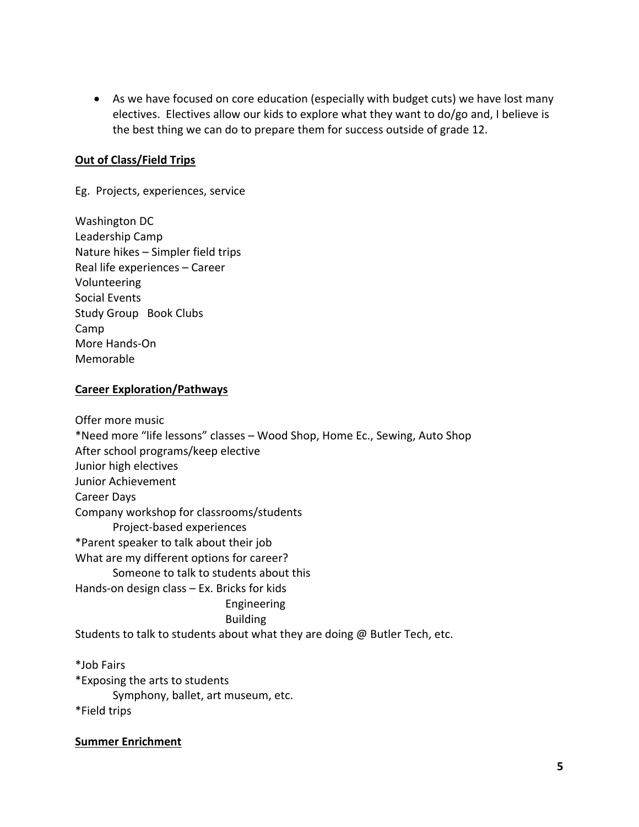As we have focused on core education (especially with budget cuts) we have lost many electives. Electives allow our kids to explore what they want to do/go and, I believe is the best thing we can do to prepare them for success outside of grade 12.

# **Out of Class/Field Trips**

Eg. Projects, experiences, service

Washington DC Leadership Camp Nature hikes – Simpler field trips Real life experiences – Career Volunteering Social Events Study Group Book Clubs Camp More Hands‐On Memorable

## **Career Exploration/Pathways**

Offer more music \*Need more "life lessons" classes – Wood Shop, Home Ec., Sewing, Auto Shop After school programs/keep elective Junior high electives Junior Achievement Career Days Company workshop for classrooms/students Project‐based experiences \*Parent speaker to talk about their job What are my different options for career? Someone to talk to students about this Hands‐on design class – Ex. Bricks for kids Engineering Building Students to talk to students about what they are doing @ Butler Tech, etc.

\*Job Fairs \*Exposing the arts to students Symphony, ballet, art museum, etc. \*Field trips

## **Summer Enrichment**